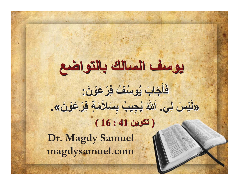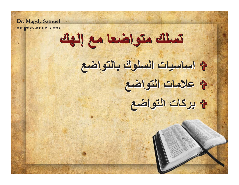Dr. Magdy Samuel magdysamuel.com

تسلك متواضعا مع إلهك

8 اساسيات السلوك بالتواضع لم علامات التواضع فخ بركات التواضع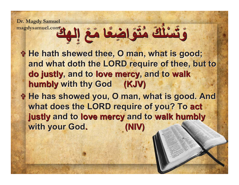**Dr. Magdy Samuel** وَتَسْلَكَ مُتَوَاخِذَةً اخْتَ مَعَ الْمِكَ ⋗ ╱ **'** $\sim$ ╱ У ల **وَتَسْلَكَ مُتَوَاضِعًا مَعَ إِلهِكَ** ╱ 义 ╱ ╱ ╱ **'** $\sim$ ╱ S 0 ╱ ╱  $\mathcal{S}$ ╱

╱

╱

╱

◢

- **the hath shewed thee, O man, what is good;** and what doth the LORD require of thee, but to do justly, and to love mercy, and to walk **humbly** with thy God (KJV)
- **the has showed you, O man, what is good. And** what does the LORD require of you? To act **justly** and to love mercy and to walk humbly **with your God.**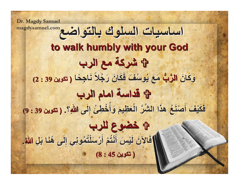**Dr. Magdy Samuel** magdysamuel.com في التواضع magdysamuel.com **to walk humbly with your God to walk humbly with your God لَا شَرِكَهُ مع الرب -& -&** ╱ كَانَ **الرَّبُّ مَعَ يُوسُفَ فَكَانَ رَجُلاً نَاجِخًا** --× Я -الرُّبُّ مَ ╱ -. **'**. -مَعَ يُوسُفَ فَكَانَ رَجُلاً نَاجِحًا ╱ ╱ Å ۶ ╱ ╱ and the control of the control of the control of the control of the control of the control of the control of the control of the control of the control of the control of the control of the control of the control of the cont ╱ **'**╱ ╱ ╱ **( 2 : 39 - )** لَا قَدَاسَةَ امام الرب <u>فَكَيْفَ أَصْنَعُ هَذَا الشَّنَّ الْعَظِيمَ وَأَخْطِئُ إِلَى</u> - 52 - -**-**يْفَ أَصْنَفُعُ هذَا الشَّرَّ الْعَظَيمَ وَأَخْ -Я . -. <u>فَكَيْفَ أَصْنَعُ هَذَا الشَّرَّ الْعَظيمَ وَأَخْطِئُ إِلَى</u>  $\overline{\phantom{a}}$ ╱  $\sim$   $\sim$ ╱ **-**يْفَ أَصْنَغُ هذَا الشَّرَّ الْعَظِيمَ وَأَخْ ╱ ۶ ╱ ╱ وَأَخْطِئُ إِلَى اللَّهِ ╱ ╱ **( 9 : 39 - ) .@ \$ B7 \$ B7**  - فَالآنَ لَيْسَ أَنْتُمْ أَرْسَلَتَمُونِي إِلَى هُنَا بَلِ -Я يْسَ أَنْتُمْ أَرْسَلْتُمُونِي إِلَى هُٰذَ نْتُمْ أَرْسَلْتُمُونِي إِلَى هُ -لَيْسَ أَنْتُمْ أَرْسَلْتُمُونِي إِلَ --- فَالآنَ لَيْسَ أَنْتُمْ أَرْسَلْتُمُونِي إِلَى هُنَا بَلِ ╱ ۶ يْسَ أَنْتُمْ أَرْسَلْتُمُونِي إِلَى هُٰذَ نْتُمْ أَرْسَلْتُمُونِي إِلَى هُ ╱ لَنْسِ َ أَنْتُمْ أَنْ سَلْتُمُونِي الْأَ  $rac{1}{2}$ ╱ ╱ فَالآنَ لَيْسَ أَنْتُمْ أَرْسَلْتُمُونِي إِلَى هُنَا بَلِ اللَّهُ Я **. ( 8 : 45 - )**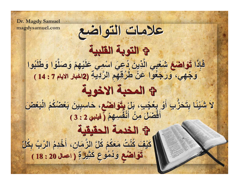